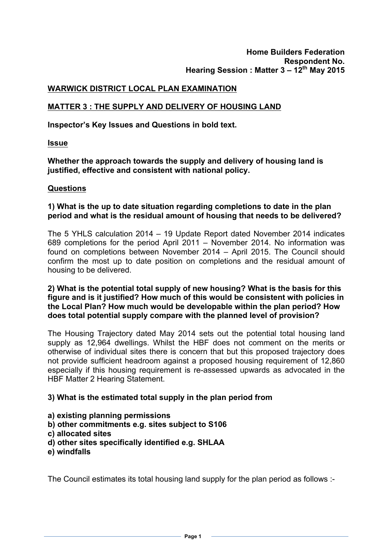#### **WARWICK DISTRICT LOCAL PLAN EXAMINATION**

## **MATTER 3 : THE SUPPLY AND DELIVERY OF HOUSING LAND**

**Inspector's Key Issues and Questions in bold text.**

**Issue**

**Whether the approach towards the supply and delivery of housing land is justified, effective and consistent with national policy.**

#### **Questions**

## **1) What is the up to date situation regarding completions to date in the plan period and what is the residual amount of housing that needs to be delivered?**

The 5 YHLS calculation 2014 – 19 Update Report dated November 2014 indicates 689 completions for the period April 2011 – November 2014. No information was found on completions between November 2014 – April 2015. The Council should confirm the most up to date position on completions and the residual amount of housing to be delivered.

**2) What is the potential total supply of new housing? What is the basis for this figure and is it justified? How much of this would be consistent with policies in the Local Plan? How much would be developable within the plan period? How does total potential supply compare with the planned level of provision?**

The Housing Trajectory dated May 2014 sets out the potential total housing land supply as 12,964 dwellings. Whilst the HBF does not comment on the merits or otherwise of individual sites there is concern that but this proposed trajectory does not provide sufficient headroom against a proposed housing requirement of 12,860 especially if this housing requirement is re-assessed upwards as advocated in the HBF Matter 2 Hearing Statement.

## **3) What is the estimated total supply in the plan period from**

- **a) existing planning permissions**
- **b) other commitments e.g. sites subject to S106**
- **c) allocated sites**
- **d) other sites specifically identified e.g. SHLAA**
- **e) windfalls**

The Council estimates its total housing land supply for the plan period as follows :-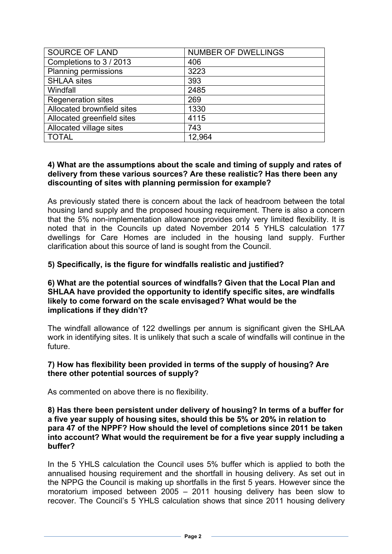| <b>SOURCE OF LAND</b>      | <b>NUMBER OF DWELLINGS</b> |
|----------------------------|----------------------------|
| Completions to 3 / 2013    | 406                        |
| Planning permissions       | 3223                       |
| <b>SHLAA sites</b>         | 393                        |
| Windfall                   | 2485                       |
| <b>Regeneration sites</b>  | 269                        |
| Allocated brownfield sites | 1330                       |
| Allocated greenfield sites | 4115                       |
| Allocated village sites    | 743                        |
| <b>TOTAL</b>               | 12,964                     |

## **4) What are the assumptions about the scale and timing of supply and rates of delivery from these various sources? Are these realistic? Has there been any discounting of sites with planning permission for example?**

As previously stated there is concern about the lack of headroom between the total housing land supply and the proposed housing requirement. There is also a concern that the 5% non-implementation allowance provides only very limited flexibility. It is noted that in the Councils up dated November 2014 5 YHLS calculation 177 dwellings for Care Homes are included in the housing land supply. Further clarification about this source of land is sought from the Council.

# **5) Specifically, is the figure for windfalls realistic and justified?**

#### **6) What are the potential sources of windfalls? Given that the Local Plan and SHLAA have provided the opportunity to identify specific sites, are windfalls likely to come forward on the scale envisaged? What would be the implications if they didn't?**

The windfall allowance of 122 dwellings per annum is significant given the SHLAA work in identifying sites. It is unlikely that such a scale of windfalls will continue in the future.

## **7) How has flexibility been provided in terms of the supply of housing? Are there other potential sources of supply?**

As commented on above there is no flexibility.

#### **8) Has there been persistent under delivery of housing? In terms of a buffer for a five year supply of housing sites, should this be 5% or 20% in relation to para 47 of the NPPF? How should the level of completions since 2011 be taken into account? What would the requirement be for a five year supply including a buffer?**

In the 5 YHLS calculation the Council uses 5% buffer which is applied to both the annualised housing requirement and the shortfall in housing delivery. As set out in the NPPG the Council is making up shortfalls in the first 5 years. However since the moratorium imposed between 2005 – 2011 housing delivery has been slow to recover. The Council's 5 YHLS calculation shows that since 2011 housing delivery